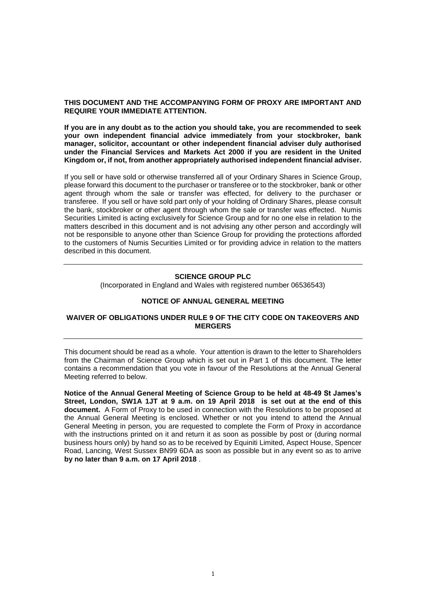## **THIS DOCUMENT AND THE ACCOMPANYING FORM OF PROXY ARE IMPORTANT AND REQUIRE YOUR IMMEDIATE ATTENTION.**

**If you are in any doubt as to the action you should take, you are recommended to seek your own independent financial advice immediately from your stockbroker, bank manager, solicitor, accountant or other independent financial adviser duly authorised under the Financial Services and Markets Act 2000 if you are resident in the United Kingdom or, if not, from another appropriately authorised independent financial adviser.**

If you sell or have sold or otherwise transferred all of your Ordinary Shares in Science Group, please forward this document to the purchaser or transferee or to the stockbroker, bank or other agent through whom the sale or transfer was effected, for delivery to the purchaser or transferee. If you sell or have sold part only of your holding of Ordinary Shares, please consult the bank, stockbroker or other agent through whom the sale or transfer was effected. Numis Securities Limited is acting exclusively for Science Group and for no one else in relation to the matters described in this document and is not advising any other person and accordingly will not be responsible to anyone other than Science Group for providing the protections afforded to the customers of Numis Securities Limited or for providing advice in relation to the matters described in this document.

#### **SCIENCE GROUP PLC**

(Incorporated in England and Wales with registered number 06536543)

#### **NOTICE OF ANNUAL GENERAL MEETING**

## **WAIVER OF OBLIGATIONS UNDER RULE 9 OF THE CITY CODE ON TAKEOVERS AND MERGERS**

This document should be read as a whole. Your attention is drawn to the letter to Shareholders from the Chairman of Science Group which is set out in Part 1 of this document. The letter contains a recommendation that you vote in favour of the Resolutions at the Annual General Meeting referred to below.

**Notice of the Annual General Meeting of Science Group to be held at 48-49 St James's Street, London, SW1A 1JT at 9 a.m. on 19 April 2018 is set out at the end of this document.** A Form of Proxy to be used in connection with the Resolutions to be proposed at the Annual General Meeting is enclosed. Whether or not you intend to attend the Annual General Meeting in person, you are requested to complete the Form of Proxy in accordance with the instructions printed on it and return it as soon as possible by post or (during normal business hours only) by hand so as to be received by Equiniti Limited, Aspect House, Spencer Road, Lancing, West Sussex BN99 6DA as soon as possible but in any event so as to arrive **by no later than 9 a.m. on 17 April 2018** .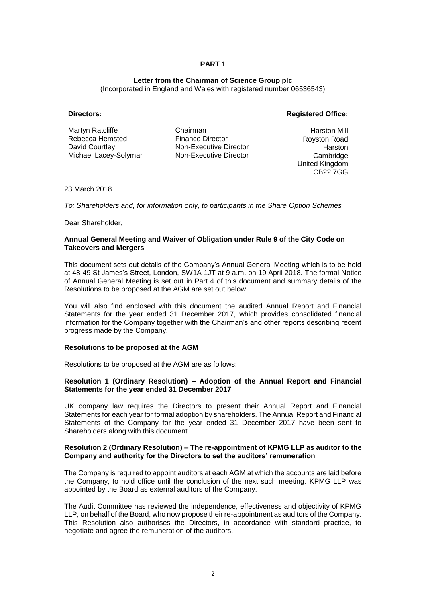#### **Letter from the Chairman of Science Group plc**

(Incorporated in England and Wales with registered number 06536543)

## **Directors: Registered Office:**

Martyn Ratcliffe Rebecca Hemsted David Courtley Michael Lacey-Solymar

Chairman Finance Director Non-Executive Director Non-Executive Director

Harston Mill Royston Road **Harston** Cambridge United Kingdom CB22 7GG

23 March 2018

*To: Shareholders and, for information only, to participants in the Share Option Schemes*

Dear Shareholder,

#### **Annual General Meeting and Waiver of Obligation under Rule 9 of the City Code on Takeovers and Mergers**

This document sets out details of the Company's Annual General Meeting which is to be held at 48-49 St James's Street, London, SW1A 1JT at 9 a.m. on 19 April 2018. The formal Notice of Annual General Meeting is set out in Part 4 of this document and summary details of the Resolutions to be proposed at the AGM are set out below.

You will also find enclosed with this document the audited Annual Report and Financial Statements for the year ended 31 December 2017, which provides consolidated financial information for the Company together with the Chairman's and other reports describing recent progress made by the Company.

#### **Resolutions to be proposed at the AGM**

Resolutions to be proposed at the AGM are as follows:

## **Resolution 1 (Ordinary Resolution) – Adoption of the Annual Report and Financial Statements for the year ended 31 December 2017**

UK company law requires the Directors to present their Annual Report and Financial Statements for each year for formal adoption by shareholders. The Annual Report and Financial Statements of the Company for the year ended 31 December 2017 have been sent to Shareholders along with this document.

#### **Resolution 2 (Ordinary Resolution) – The re-appointment of KPMG LLP as auditor to the Company and authority for the Directors to set the auditors' remuneration**

The Company is required to appoint auditors at each AGM at which the accounts are laid before the Company, to hold office until the conclusion of the next such meeting. KPMG LLP was appointed by the Board as external auditors of the Company.

The Audit Committee has reviewed the independence, effectiveness and objectivity of KPMG LLP, on behalf of the Board, who now propose their re-appointment as auditors of the Company. This Resolution also authorises the Directors, in accordance with standard practice, to negotiate and agree the remuneration of the auditors.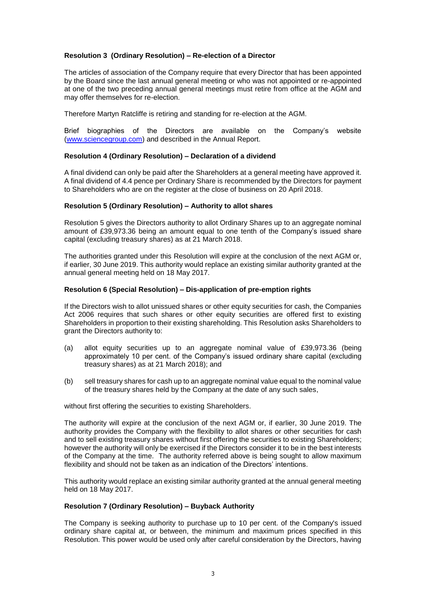## **Resolution 3 (Ordinary Resolution) – Re-election of a Director**

The articles of association of the Company require that every Director that has been appointed by the Board since the last annual general meeting or who was not appointed or re-appointed at one of the two preceding annual general meetings must retire from office at the AGM and may offer themselves for re-election.

Therefore Martyn Ratcliffe is retiring and standing for re-election at the AGM.

Brief biographies of the Directors are available on the Company's website [\(www.sciencegroup.com\)](http://www.sciencegroup.com/) and described in the Annual Report.

#### **Resolution 4 (Ordinary Resolution) – Declaration of a dividend**

A final dividend can only be paid after the Shareholders at a general meeting have approved it. A final dividend of 4.4 pence per Ordinary Share is recommended by the Directors for payment to Shareholders who are on the register at the close of business on 20 April 2018.

#### **Resolution 5 (Ordinary Resolution) – Authority to allot shares**

Resolution 5 gives the Directors authority to allot Ordinary Shares up to an aggregate nominal amount of £39,973.36 being an amount equal to one tenth of the Company's issued share capital (excluding treasury shares) as at 21 March 2018.

The authorities granted under this Resolution will expire at the conclusion of the next AGM or, if earlier, 30 June 2019. This authority would replace an existing similar authority granted at the annual general meeting held on 18 May 2017.

#### **Resolution 6 (Special Resolution) – Dis-application of pre-emption rights**

If the Directors wish to allot unissued shares or other equity securities for cash, the Companies Act 2006 requires that such shares or other equity securities are offered first to existing Shareholders in proportion to their existing shareholding. This Resolution asks Shareholders to grant the Directors authority to:

- (a) allot equity securities up to an aggregate nominal value of £39,973.36 (being approximately 10 per cent. of the Company's issued ordinary share capital (excluding treasury shares) as at 21 March 2018); and
- (b) sell treasury shares for cash up to an aggregate nominal value equal to the nominal value of the treasury shares held by the Company at the date of any such sales,

without first offering the securities to existing Shareholders.

The authority will expire at the conclusion of the next AGM or, if earlier, 30 June 2019. The authority provides the Company with the flexibility to allot shares or other securities for cash and to sell existing treasury shares without first offering the securities to existing Shareholders; however the authority will only be exercised if the Directors consider it to be in the best interests of the Company at the time. The authority referred above is being sought to allow maximum flexibility and should not be taken as an indication of the Directors' intentions.

This authority would replace an existing similar authority granted at the annual general meeting held on 18 May 2017.

#### **Resolution 7 (Ordinary Resolution) – Buyback Authority**

The Company is seeking authority to purchase up to 10 per cent. of the Company's issued ordinary share capital at, or between, the minimum and maximum prices specified in this Resolution. This power would be used only after careful consideration by the Directors, having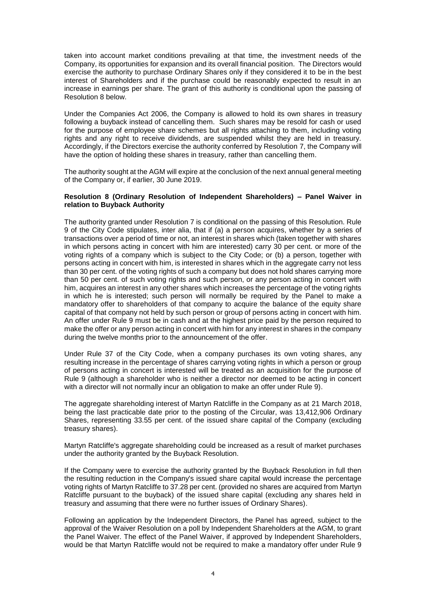taken into account market conditions prevailing at that time, the investment needs of the Company, its opportunities for expansion and its overall financial position. The Directors would exercise the authority to purchase Ordinary Shares only if they considered it to be in the best interest of Shareholders and if the purchase could be reasonably expected to result in an increase in earnings per share. The grant of this authority is conditional upon the passing of Resolution 8 below.

Under the Companies Act 2006, the Company is allowed to hold its own shares in treasury following a buyback instead of cancelling them. Such shares may be resold for cash or used for the purpose of employee share schemes but all rights attaching to them, including voting rights and any right to receive dividends, are suspended whilst they are held in treasury. Accordingly, if the Directors exercise the authority conferred by Resolution 7, the Company will have the option of holding these shares in treasury, rather than cancelling them.

The authority sought at the AGM will expire at the conclusion of the next annual general meeting of the Company or, if earlier, 30 June 2019.

#### **Resolution 8 (Ordinary Resolution of Independent Shareholders) – Panel Waiver in relation to Buyback Authority**

The authority granted under Resolution 7 is conditional on the passing of this Resolution. Rule 9 of the City Code stipulates, inter alia, that if (a) a person acquires, whether by a series of transactions over a period of time or not, an interest in shares which (taken together with shares in which persons acting in concert with him are interested) carry 30 per cent. or more of the voting rights of a company which is subject to the City Code; or (b) a person, together with persons acting in concert with him, is interested in shares which in the aggregate carry not less than 30 per cent. of the voting rights of such a company but does not hold shares carrying more than 50 per cent. of such voting rights and such person, or any person acting in concert with him, acquires an interest in any other shares which increases the percentage of the voting rights in which he is interested; such person will normally be required by the Panel to make a mandatory offer to shareholders of that company to acquire the balance of the equity share capital of that company not held by such person or group of persons acting in concert with him. An offer under Rule 9 must be in cash and at the highest price paid by the person required to make the offer or any person acting in concert with him for any interest in shares in the company during the twelve months prior to the announcement of the offer.

Under Rule 37 of the City Code, when a company purchases its own voting shares, any resulting increase in the percentage of shares carrying voting rights in which a person or group of persons acting in concert is interested will be treated as an acquisition for the purpose of Rule 9 (although a shareholder who is neither a director nor deemed to be acting in concert with a director will not normally incur an obligation to make an offer under Rule 9).

The aggregate shareholding interest of Martyn Ratcliffe in the Company as at 21 March 2018, being the last practicable date prior to the posting of the Circular, was 13,412,906 Ordinary Shares, representing 33.55 per cent. of the issued share capital of the Company (excluding treasury shares).

Martyn Ratcliffe's aggregate shareholding could be increased as a result of market purchases under the authority granted by the Buyback Resolution.

If the Company were to exercise the authority granted by the Buyback Resolution in full then the resulting reduction in the Company's issued share capital would increase the percentage voting rights of Martyn Ratcliffe to 37.28 per cent. (provided no shares are acquired from Martyn Ratcliffe pursuant to the buyback) of the issued share capital (excluding any shares held in treasury and assuming that there were no further issues of Ordinary Shares).

Following an application by the Independent Directors, the Panel has agreed, subject to the approval of the Waiver Resolution on a poll by Independent Shareholders at the AGM, to grant the Panel Waiver. The effect of the Panel Waiver, if approved by Independent Shareholders, would be that Martyn Ratcliffe would not be required to make a mandatory offer under Rule 9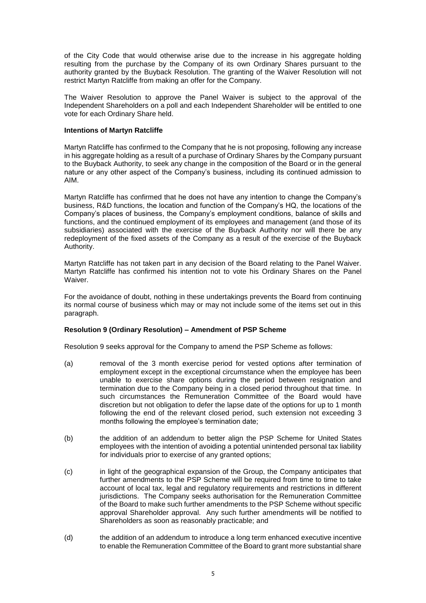of the City Code that would otherwise arise due to the increase in his aggregate holding resulting from the purchase by the Company of its own Ordinary Shares pursuant to the authority granted by the Buyback Resolution. The granting of the Waiver Resolution will not restrict Martyn Ratcliffe from making an offer for the Company.

The Waiver Resolution to approve the Panel Waiver is subject to the approval of the Independent Shareholders on a poll and each Independent Shareholder will be entitled to one vote for each Ordinary Share held.

#### **Intentions of Martyn Ratcliffe**

Martyn Ratcliffe has confirmed to the Company that he is not proposing, following any increase in his aggregate holding as a result of a purchase of Ordinary Shares by the Company pursuant to the Buyback Authority, to seek any change in the composition of the Board or in the general nature or any other aspect of the Company's business, including its continued admission to AIM.

Martyn Ratcliffe has confirmed that he does not have any intention to change the Company's business, R&D functions, the location and function of the Company's HQ, the locations of the Company's places of business, the Company's employment conditions, balance of skills and functions, and the continued employment of its employees and management (and those of its subsidiaries) associated with the exercise of the Buyback Authority nor will there be any redeployment of the fixed assets of the Company as a result of the exercise of the Buyback Authority.

Martyn Ratcliffe has not taken part in any decision of the Board relating to the Panel Waiver. Martyn Ratcliffe has confirmed his intention not to vote his Ordinary Shares on the Panel Waiver.

For the avoidance of doubt, nothing in these undertakings prevents the Board from continuing its normal course of business which may or may not include some of the items set out in this paragraph.

#### **Resolution 9 (Ordinary Resolution) – Amendment of PSP Scheme**

Resolution 9 seeks approval for the Company to amend the PSP Scheme as follows:

- (a) removal of the 3 month exercise period for vested options after termination of employment except in the exceptional circumstance when the employee has been unable to exercise share options during the period between resignation and termination due to the Company being in a closed period throughout that time. In such circumstances the Remuneration Committee of the Board would have discretion but not obligation to defer the lapse date of the options for up to 1 month following the end of the relevant closed period, such extension not exceeding 3 months following the employee's termination date;
- (b) the addition of an addendum to better align the PSP Scheme for United States employees with the intention of avoiding a potential unintended personal tax liability for individuals prior to exercise of any granted options;
- (c) in light of the geographical expansion of the Group, the Company anticipates that further amendments to the PSP Scheme will be required from time to time to take account of local tax, legal and regulatory requirements and restrictions in different jurisdictions. The Company seeks authorisation for the Remuneration Committee of the Board to make such further amendments to the PSP Scheme without specific approval Shareholder approval. Any such further amendments will be notified to Shareholders as soon as reasonably practicable; and
- (d) the addition of an addendum to introduce a long term enhanced executive incentive to enable the Remuneration Committee of the Board to grant more substantial share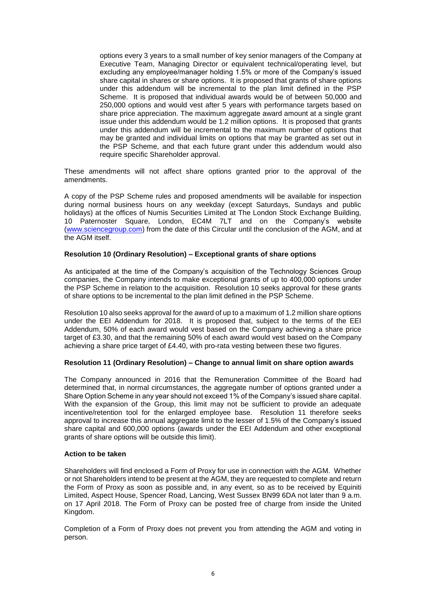options every 3 years to a small number of key senior managers of the Company at Executive Team, Managing Director or equivalent technical/operating level, but excluding any employee/manager holding 1.5% or more of the Company's issued share capital in shares or share options. It is proposed that grants of share options under this addendum will be incremental to the plan limit defined in the PSP Scheme. It is proposed that individual awards would be of between 50,000 and 250,000 options and would vest after 5 years with performance targets based on share price appreciation. The maximum aggregate award amount at a single grant issue under this addendum would be 1.2 million options. It is proposed that grants under this addendum will be incremental to the maximum number of options that may be granted and individual limits on options that may be granted as set out in the PSP Scheme, and that each future grant under this addendum would also require specific Shareholder approval.

These amendments will not affect share options granted prior to the approval of the amendments.

A copy of the PSP Scheme rules and proposed amendments will be available for inspection during normal business hours on any weekday (except Saturdays, Sundays and public holidays) at the offices of Numis Securities Limited at The London Stock Exchange Building, 10 Paternoster Square, London, EC4M 7LT and on the Company's website [\(www.sciencegroup.com\)](http://www.sciencegroup.com/) from the date of this Circular until the conclusion of the AGM, and at the AGM itself.

## **Resolution 10 (Ordinary Resolution) – Exceptional grants of share options**

As anticipated at the time of the Company's acquisition of the Technology Sciences Group companies, the Company intends to make exceptional grants of up to 400,000 options under the PSP Scheme in relation to the acquisition. Resolution 10 seeks approval for these grants of share options to be incremental to the plan limit defined in the PSP Scheme.

Resolution 10 also seeks approval for the award of up to a maximum of 1.2 million share options under the EEI Addendum for 2018. It is proposed that, subject to the terms of the EEI Addendum, 50% of each award would vest based on the Company achieving a share price target of £3.30, and that the remaining 50% of each award would vest based on the Company achieving a share price target of £4.40, with pro-rata vesting between these two figures.

#### **Resolution 11 (Ordinary Resolution) – Change to annual limit on share option awards**

The Company announced in 2016 that the Remuneration Committee of the Board had determined that, in normal circumstances, the aggregate number of options granted under a Share Option Scheme in any year should not exceed 1% of the Company's issued share capital. With the expansion of the Group, this limit may not be sufficient to provide an adequate incentive/retention tool for the enlarged employee base. Resolution 11 therefore seeks approval to increase this annual aggregate limit to the lesser of 1.5% of the Company's issued share capital and 600,000 options (awards under the EEI Addendum and other exceptional grants of share options will be outside this limit).

#### **Action to be taken**

Shareholders will find enclosed a Form of Proxy for use in connection with the AGM. Whether or not Shareholders intend to be present at the AGM, they are requested to complete and return the Form of Proxy as soon as possible and, in any event, so as to be received by Equiniti Limited, Aspect House, Spencer Road, Lancing, West Sussex BN99 6DA not later than 9 a.m. on 17 April 2018. The Form of Proxy can be posted free of charge from inside the United Kingdom.

Completion of a Form of Proxy does not prevent you from attending the AGM and voting in person.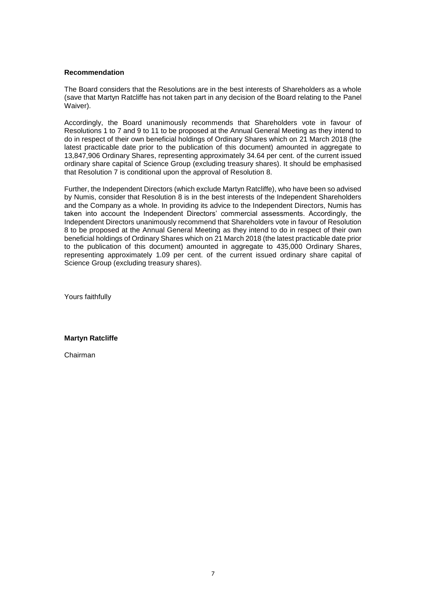### **Recommendation**

The Board considers that the Resolutions are in the best interests of Shareholders as a whole (save that Martyn Ratcliffe has not taken part in any decision of the Board relating to the Panel Waiver).

Accordingly, the Board unanimously recommends that Shareholders vote in favour of Resolutions 1 to 7 and 9 to 11 to be proposed at the Annual General Meeting as they intend to do in respect of their own beneficial holdings of Ordinary Shares which on 21 March 2018 (the latest practicable date prior to the publication of this document) amounted in aggregate to 13,847,906 Ordinary Shares, representing approximately 34.64 per cent. of the current issued ordinary share capital of Science Group (excluding treasury shares). It should be emphasised that Resolution 7 is conditional upon the approval of Resolution 8.

Further, the Independent Directors (which exclude Martyn Ratcliffe), who have been so advised by Numis, consider that Resolution 8 is in the best interests of the Independent Shareholders and the Company as a whole. In providing its advice to the Independent Directors, Numis has taken into account the Independent Directors' commercial assessments. Accordingly, the Independent Directors unanimously recommend that Shareholders vote in favour of Resolution 8 to be proposed at the Annual General Meeting as they intend to do in respect of their own beneficial holdings of Ordinary Shares which on 21 March 2018 (the latest practicable date prior to the publication of this document) amounted in aggregate to 435,000 Ordinary Shares, representing approximately 1.09 per cent. of the current issued ordinary share capital of Science Group (excluding treasury shares).

Yours faithfully

**Martyn Ratcliffe**

Chairman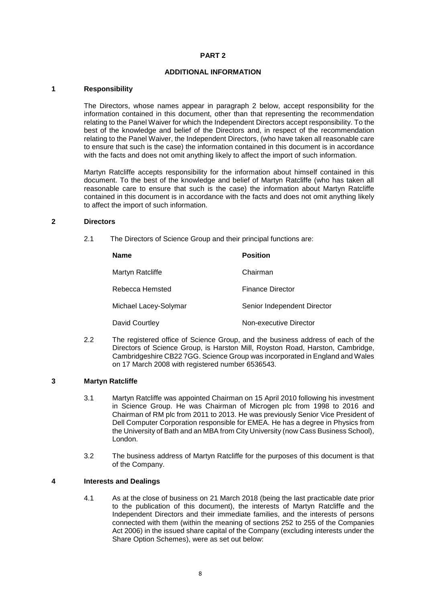## **ADDITIONAL INFORMATION**

#### **1 Responsibility**

The Directors, whose names appear in paragraph 2 below, accept responsibility for the information contained in this document, other than that representing the recommendation relating to the Panel Waiver for which the Independent Directors accept responsibility. To the best of the knowledge and belief of the Directors and, in respect of the recommendation relating to the Panel Waiver, the Independent Directors, (who have taken all reasonable care to ensure that such is the case) the information contained in this document is in accordance with the facts and does not omit anything likely to affect the import of such information.

Martyn Ratcliffe accepts responsibility for the information about himself contained in this document. To the best of the knowledge and belief of Martyn Ratcliffe (who has taken all reasonable care to ensure that such is the case) the information about Martyn Ratcliffe contained in this document is in accordance with the facts and does not omit anything likely to affect the import of such information.

#### **2 Directors**

2.1 The Directors of Science Group and their principal functions are:

| <b>Name</b>           | <b>Position</b>             |
|-----------------------|-----------------------------|
| Martyn Ratcliffe      | Chairman                    |
| Rebecca Hemsted       | <b>Finance Director</b>     |
| Michael Lacey-Solymar | Senior Independent Director |
| David Courtley        | Non-executive Director      |

2.2 The registered office of Science Group, and the business address of each of the Directors of Science Group, is Harston Mill, Royston Road, Harston, Cambridge, Cambridgeshire CB22 7GG. Science Group was incorporated in England and Wales on 17 March 2008 with registered number 6536543.

## **3 Martyn Ratcliffe**

- 3.1 Martyn Ratcliffe was appointed Chairman on 15 April 2010 following his investment in Science Group. He was Chairman of Microgen plc from 1998 to 2016 and Chairman of RM plc from 2011 to 2013. He was previously Senior Vice President of Dell Computer Corporation responsible for EMEA. He has a degree in Physics from the University of Bath and an MBA from City University (now Cass Business School), London.
- 3.2 The business address of Martyn Ratcliffe for the purposes of this document is that of the Company.

## **4 Interests and Dealings**

4.1 As at the close of business on 21 March 2018 (being the last practicable date prior to the publication of this document), the interests of Martyn Ratcliffe and the Independent Directors and their immediate families, and the interests of persons connected with them (within the meaning of sections 252 to 255 of the Companies Act 2006) in the issued share capital of the Company (excluding interests under the Share Option Schemes), were as set out below: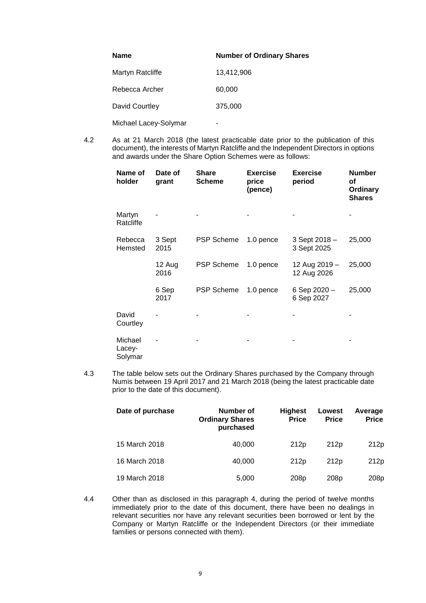| <b>Name</b>           | <b>Number of Ordinary Shares</b> |
|-----------------------|----------------------------------|
| Martyn Ratcliffe      | 13,412,906                       |
| Rebecca Archer        | 60,000                           |
| David Courtley        | 375,000                          |
| Michael Lacey-Solymar |                                  |

4.2 As at 21 March 2018 (the latest practicable date prior to the publication of this document), the interests of Martyn Ratcliffe and the Independent Directors in options and awards under the Share Option Schemes were as follows:

| Name of<br>holder            | Date of<br>grant | <b>Share</b><br><b>Scheme</b> | <b>Exercise</b><br>price<br>(pence) | <b>Exercise</b><br>period    | <b>Number</b><br>оf<br>Ordinary<br><b>Shares</b> |
|------------------------------|------------------|-------------------------------|-------------------------------------|------------------------------|--------------------------------------------------|
| Martyn<br>Ratcliffe          |                  |                               |                                     |                              |                                                  |
| Rebecca<br>Hemsted           | 3 Sept<br>2015   | <b>PSP Scheme</b>             | 1.0 pence                           | 3 Sept 2018 -<br>3 Sept 2025 | 25,000                                           |
|                              | 12 Aug<br>2016   | <b>PSP Scheme</b>             | 1.0 pence                           | 12 Aug 2019 -<br>12 Aug 2026 | 25,000                                           |
|                              | 6 Sep<br>2017    | <b>PSP Scheme</b>             | 1.0 pence                           | 6 Sep 2020 -<br>6 Sep 2027   | 25,000                                           |
| David<br>Courtley            |                  |                               |                                     |                              |                                                  |
| Michael<br>Lacey-<br>Solymar |                  |                               |                                     |                              |                                                  |

4.3 The table below sets out the Ordinary Shares purchased by the Company through Numis between 19 April 2017 and 21 March 2018 (being the latest practicable date prior to the date of this document).

| Date of purchase | Number of<br><b>Ordinary Shares</b><br>purchased | <b>Highest</b><br><b>Price</b> | Lowest<br><b>Price</b> | Average<br><b>Price</b> |
|------------------|--------------------------------------------------|--------------------------------|------------------------|-------------------------|
| 15 March 2018    | 40.000                                           | 212 <sub>p</sub>               | 212 <sub>p</sub>       | 212p                    |
| 16 March 2018    | 40.000                                           | 212 <sub>p</sub>               | 212 <sub>p</sub>       | 212 <sub>p</sub>        |
| 19 March 2018    | 5,000                                            | 208 <sub>p</sub>               | 208 <sub>p</sub>       | 208p                    |

4.4 Other than as disclosed in this paragraph 4, during the period of twelve months immediately prior to the date of this document, there have been no dealings in relevant securities nor have any relevant securities been borrowed or lent by the Company or Martyn Ratcliffe or the Independent Directors (or their immediate families or persons connected with them).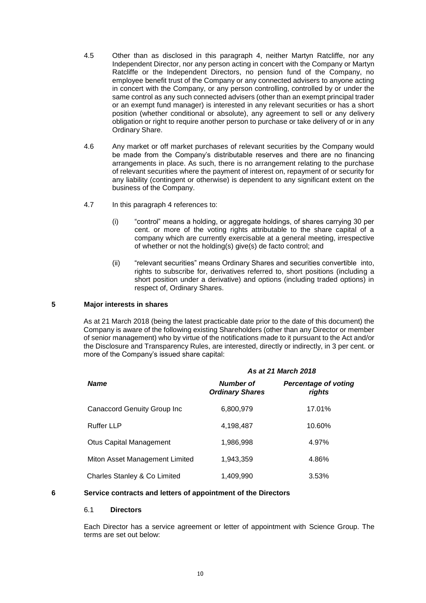- 4.5 Other than as disclosed in this paragraph 4, neither Martyn Ratcliffe, nor any Independent Director, nor any person acting in concert with the Company or Martyn Ratcliffe or the Independent Directors, no pension fund of the Company, no employee benefit trust of the Company or any connected advisers to anyone acting in concert with the Company, or any person controlling, controlled by or under the same control as any such connected advisers (other than an exempt principal trader or an exempt fund manager) is interested in any relevant securities or has a short position (whether conditional or absolute), any agreement to sell or any delivery obligation or right to require another person to purchase or take delivery of or in any Ordinary Share.
- 4.6 Any market or off market purchases of relevant securities by the Company would be made from the Company's distributable reserves and there are no financing arrangements in place. As such, there is no arrangement relating to the purchase of relevant securities where the payment of interest on, repayment of or security for any liability (contingent or otherwise) is dependent to any significant extent on the business of the Company.
- 4.7 In this paragraph 4 references to:
	- (i) "control" means a holding, or aggregate holdings, of shares carrying 30 per cent. or more of the voting rights attributable to the share capital of a company which are currently exercisable at a general meeting, irrespective of whether or not the holding(s) give(s) de facto control; and
	- (ii) "relevant securities" means Ordinary Shares and securities convertible into, rights to subscribe for, derivatives referred to, short positions (including a short position under a derivative) and options (including traded options) in respect of, Ordinary Shares.

### **5 Major interests in shares**

As at 21 March 2018 (being the latest practicable date prior to the date of this document) the Company is aware of the following existing Shareholders (other than any Director or member of senior management) who by virtue of the notifications made to it pursuant to the Act and/or the Disclosure and Transparency Rules, are interested, directly or indirectly, in 3 per cent. or more of the Company's issued share capital:

|                                    | As at 21 March 2018                 |                                       |  |  |
|------------------------------------|-------------------------------------|---------------------------------------|--|--|
| <b>Name</b>                        | Number of<br><b>Ordinary Shares</b> | <b>Percentage of voting</b><br>rights |  |  |
| <b>Canaccord Genuity Group Inc</b> | 6,800,979                           | 17.01%                                |  |  |
| <b>Ruffer LLP</b>                  | 4,198,487                           | 10.60%                                |  |  |
| <b>Otus Capital Management</b>     | 1,986,998                           | 4.97%                                 |  |  |
| Miton Asset Management Limited     | 1,943,359                           | 4.86%                                 |  |  |
| Charles Stanley & Co Limited       | 1,409,990                           | 3.53%                                 |  |  |

# **6 Service contracts and letters of appointment of the Directors**

#### 6.1 **Directors**

Each Director has a service agreement or letter of appointment with Science Group. The terms are set out below: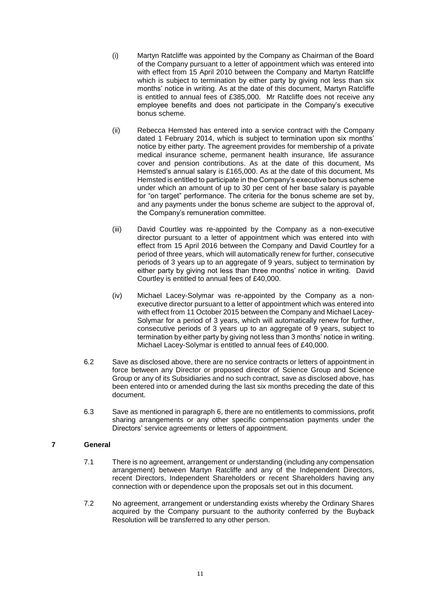- (i) Martyn Ratcliffe was appointed by the Company as Chairman of the Board of the Company pursuant to a letter of appointment which was entered into with effect from 15 April 2010 between the Company and Martyn Ratcliffe which is subject to termination by either party by giving not less than six months' notice in writing. As at the date of this document, Martyn Ratcliffe is entitled to annual fees of £385,000. Mr Ratcliffe does not receive any employee benefits and does not participate in the Company's executive bonus scheme.
- (ii) Rebecca Hemsted has entered into a service contract with the Company dated 1 February 2014, which is subject to termination upon six months' notice by either party. The agreement provides for membership of a private medical insurance scheme, permanent health insurance, life assurance cover and pension contributions. As at the date of this document, Ms Hemsted's annual salary is £165,000. As at the date of this document, Ms Hemsted is entitled to participate in the Company's executive bonus scheme under which an amount of up to 30 per cent of her base salary is payable for "on target" performance. The criteria for the bonus scheme are set by, and any payments under the bonus scheme are subject to the approval of, the Company's remuneration committee.
- (iii) David Courtley was re-appointed by the Company as a non-executive director pursuant to a letter of appointment which was entered into with effect from 15 April 2016 between the Company and David Courtley for a period of three years, which will automatically renew for further, consecutive periods of 3 years up to an aggregate of 9 years, subject to termination by either party by giving not less than three months' notice in writing. David Courtley is entitled to annual fees of £40,000.
- (iv) Michael Lacey-Solymar was re-appointed by the Company as a nonexecutive director pursuant to a letter of appointment which was entered into with effect from 11 October 2015 between the Company and Michael Lacey-Solymar for a period of 3 years, which will automatically renew for further, consecutive periods of 3 years up to an aggregate of 9 years, subject to termination by either party by giving not less than 3 months' notice in writing. Michael Lacey-Solymar is entitled to annual fees of £40,000.
- 6.2 Save as disclosed above, there are no service contracts or letters of appointment in force between any Director or proposed director of Science Group and Science Group or any of its Subsidiaries and no such contract, save as disclosed above, has been entered into or amended during the last six months preceding the date of this document.
- 6.3 Save as mentioned in paragraph 6, there are no entitlements to commissions, profit sharing arrangements or any other specific compensation payments under the Directors' service agreements or letters of appointment.

## **7 General**

- 7.1 There is no agreement, arrangement or understanding (including any compensation arrangement) between Martyn Ratcliffe and any of the Independent Directors, recent Directors, Independent Shareholders or recent Shareholders having any connection with or dependence upon the proposals set out in this document.
- 7.2 No agreement, arrangement or understanding exists whereby the Ordinary Shares acquired by the Company pursuant to the authority conferred by the Buyback Resolution will be transferred to any other person.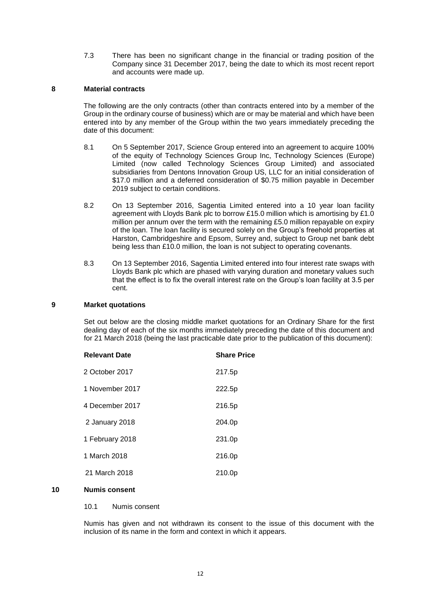7.3 There has been no significant change in the financial or trading position of the Company since 31 December 2017, being the date to which its most recent report and accounts were made up.

#### **8 Material contracts**

The following are the only contracts (other than contracts entered into by a member of the Group in the ordinary course of business) which are or may be material and which have been entered into by any member of the Group within the two years immediately preceding the date of this document:

- 8.1 On 5 September 2017, Science Group entered into an agreement to acquire 100% of the equity of Technology Sciences Group Inc, Technology Sciences (Europe) Limited (now called Technology Sciences Group Limited) and associated subsidiaries from Dentons Innovation Group US, LLC for an initial consideration of \$17.0 million and a deferred consideration of \$0.75 million payable in December 2019 subject to certain conditions.
- 8.2 On 13 September 2016, Sagentia Limited entered into a 10 year loan facility agreement with Lloyds Bank plc to borrow £15.0 million which is amortising by £1.0 million per annum over the term with the remaining £5.0 million repayable on expiry of the loan. The loan facility is secured solely on the Group's freehold properties at Harston, Cambridgeshire and Epsom, Surrey and, subject to Group net bank debt being less than £10.0 million, the loan is not subject to operating covenants.
- 8.3 On 13 September 2016, Sagentia Limited entered into four interest rate swaps with Lloyds Bank plc which are phased with varying duration and monetary values such that the effect is to fix the overall interest rate on the Group's loan facility at 3.5 per cent.

## **9 Market quotations**

Set out below are the closing middle market quotations for an Ordinary Share for the first dealing day of each of the six months immediately preceding the date of this document and for 21 March 2018 (being the last practicable date prior to the publication of this document):

| <b>Relevant Date</b> | <b>Share Price</b> |
|----------------------|--------------------|
| 2 October 2017       | 217.5p             |
| 1 November 2017      | 222.5p             |
| 4 December 2017      | 216.5p             |
| 2 January 2018       | 204.0p             |
| 1 February 2018      | 231.0p             |
| 1 March 2018         | 216.0p             |
| 21 March 2018        | 210.0p             |

## **10 Numis consent**

10.1 Numis consent

Numis has given and not withdrawn its consent to the issue of this document with the inclusion of its name in the form and context in which it appears.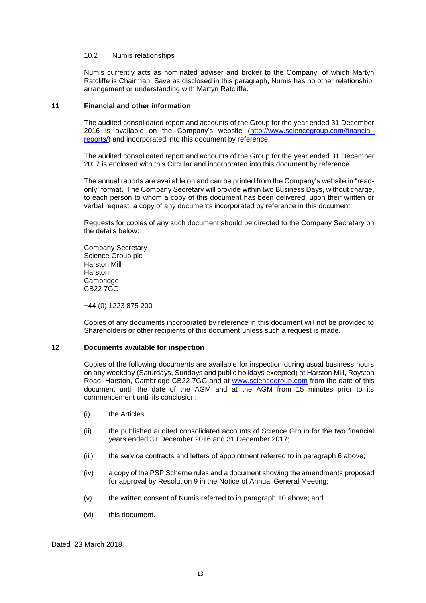#### 10.2 Numis relationships

Numis currently acts as nominated adviser and broker to the Company, of which Martyn Ratcliffe is Chairman. Save as disclosed in this paragraph, Numis has no other relationship, arrangement or understanding with Martyn Ratcliffe.

#### **11 Financial and other information**

The audited consolidated report and accounts of the Group for the year ended 31 December 2016 is available on the Company's website [\(http://www.sciencegroup.com/financial](http://www.sciencegroup.com/financial-reports/)[reports/\)](http://www.sciencegroup.com/financial-reports/) and incorporated into this document by reference.

The audited consolidated report and accounts of the Group for the year ended 31 December 2017 is enclosed with this Circular and incorporated into this document by reference.

The annual reports are available on and can be printed from the Company's website in "readonly" format. The Company Secretary will provide within two Business Days, without charge, to each person to whom a copy of this document has been delivered, upon their written or verbal request, a copy of any documents incorporated by reference in this document.

Requests for copies of any such document should be directed to the Company Secretary on the details below:

Company Secretary Science Group plc Harston Mill Harston **Cambridge** CB22 7GG

+44 (0) 1223 875 200

Copies of any documents incorporated by reference in this document will not be provided to Shareholders or other recipients of this document unless such a request is made.

#### **12 Documents available for inspection**

Copies of the following documents are available for inspection during usual business hours on any weekday (Saturdays, Sundays and public holidays excepted) at Harston Mill, Royston Road, Harston, Cambridge CB22 7GG and at [www.sciencegroup.com](http://www.sciencegroup.com/) from the date of this document until the date of the AGM and at the AGM from 15 minutes prior to its commencement until its conclusion:

- (i) the Articles;
- (ii) the published audited consolidated accounts of Science Group for the two financial years ended 31 December 2016 and 31 December 2017;
- (iii) the service contracts and letters of appointment referred to in paragraph 6 above;
- (iv) a copy of the PSP Scheme rules and a document showing the amendments proposed for approval by Resolution 9 in the Notice of Annual General Meeting;
- (v) the written consent of Numis referred to in paragraph 10 above; and
- (vi) this document.

Dated 23 March 2018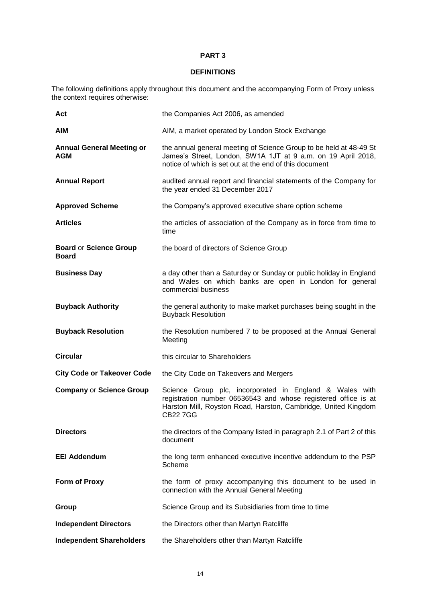## **DEFINITIONS**

The following definitions apply throughout this document and the accompanying Form of Proxy unless the context requires otherwise:

| Act                                            | the Companies Act 2006, as amended                                                                                                                                                                            |
|------------------------------------------------|---------------------------------------------------------------------------------------------------------------------------------------------------------------------------------------------------------------|
| <b>AIM</b>                                     | AIM, a market operated by London Stock Exchange                                                                                                                                                               |
| <b>Annual General Meeting or</b><br><b>AGM</b> | the annual general meeting of Science Group to be held at 48-49 St<br>James's Street, London, SW1A 1JT at 9 a.m. on 19 April 2018,<br>notice of which is set out at the end of this document                  |
| <b>Annual Report</b>                           | audited annual report and financial statements of the Company for<br>the year ended 31 December 2017                                                                                                          |
| <b>Approved Scheme</b>                         | the Company's approved executive share option scheme                                                                                                                                                          |
| <b>Articles</b>                                | the articles of association of the Company as in force from time to<br>time                                                                                                                                   |
| <b>Board or Science Group</b><br><b>Board</b>  | the board of directors of Science Group                                                                                                                                                                       |
| <b>Business Day</b>                            | a day other than a Saturday or Sunday or public holiday in England<br>and Wales on which banks are open in London for general<br>commercial business                                                          |
| <b>Buyback Authority</b>                       | the general authority to make market purchases being sought in the<br><b>Buyback Resolution</b>                                                                                                               |
| <b>Buyback Resolution</b>                      | the Resolution numbered 7 to be proposed at the Annual General<br>Meeting                                                                                                                                     |
| <b>Circular</b>                                | this circular to Shareholders                                                                                                                                                                                 |
| <b>City Code or Takeover Code</b>              | the City Code on Takeovers and Mergers                                                                                                                                                                        |
| <b>Company or Science Group</b>                | Science Group plc, incorporated in England & Wales with<br>registration number 06536543 and whose registered office is at<br>Harston Mill, Royston Road, Harston, Cambridge, United Kingdom<br><b>CB227GG</b> |
| <b>Directors</b>                               | the directors of the Company listed in paragraph 2.1 of Part 2 of this<br>document                                                                                                                            |
| <b>EEI Addendum</b>                            | the long term enhanced executive incentive addendum to the PSP<br>Scheme                                                                                                                                      |
| Form of Proxy                                  | the form of proxy accompanying this document to be used in<br>connection with the Annual General Meeting                                                                                                      |
| Group                                          | Science Group and its Subsidiaries from time to time                                                                                                                                                          |
| <b>Independent Directors</b>                   | the Directors other than Martyn Ratcliffe                                                                                                                                                                     |
| <b>Independent Shareholders</b>                | the Shareholders other than Martyn Ratcliffe                                                                                                                                                                  |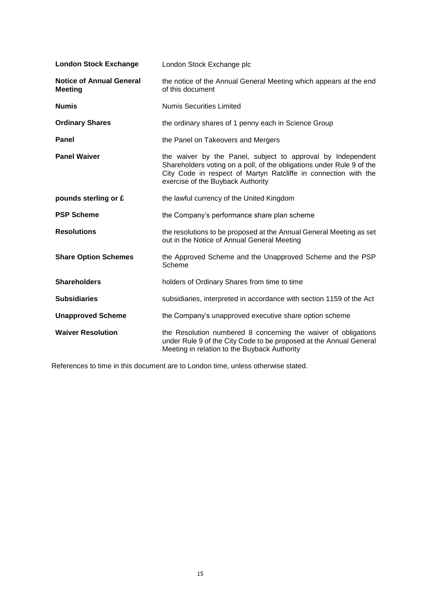| <b>London Stock Exchange</b>                      | London Stock Exchange plc                                                                                                                                                                                                                    |
|---------------------------------------------------|----------------------------------------------------------------------------------------------------------------------------------------------------------------------------------------------------------------------------------------------|
| <b>Notice of Annual General</b><br><b>Meeting</b> | the notice of the Annual General Meeting which appears at the end<br>of this document                                                                                                                                                        |
| <b>Numis</b>                                      | <b>Numis Securities Limited</b>                                                                                                                                                                                                              |
| <b>Ordinary Shares</b>                            | the ordinary shares of 1 penny each in Science Group                                                                                                                                                                                         |
| Panel                                             | the Panel on Takeovers and Mergers                                                                                                                                                                                                           |
| <b>Panel Waiver</b>                               | the waiver by the Panel, subject to approval by Independent<br>Shareholders voting on a poll, of the obligations under Rule 9 of the<br>City Code in respect of Martyn Ratcliffe in connection with the<br>exercise of the Buyback Authority |
| pounds sterling or £                              | the lawful currency of the United Kingdom                                                                                                                                                                                                    |
| <b>PSP Scheme</b>                                 | the Company's performance share plan scheme                                                                                                                                                                                                  |
| <b>Resolutions</b>                                | the resolutions to be proposed at the Annual General Meeting as set<br>out in the Notice of Annual General Meeting                                                                                                                           |
| <b>Share Option Schemes</b>                       | the Approved Scheme and the Unapproved Scheme and the PSP<br>Scheme                                                                                                                                                                          |
| <b>Shareholders</b>                               | holders of Ordinary Shares from time to time                                                                                                                                                                                                 |
| <b>Subsidiaries</b>                               | subsidiaries, interpreted in accordance with section 1159 of the Act                                                                                                                                                                         |
| <b>Unapproved Scheme</b>                          | the Company's unapproved executive share option scheme                                                                                                                                                                                       |
| <b>Waiver Resolution</b>                          | the Resolution numbered 8 concerning the waiver of obligations<br>under Rule 9 of the City Code to be proposed at the Annual General<br>Meeting in relation to the Buyback Authority                                                         |

References to time in this document are to London time, unless otherwise stated.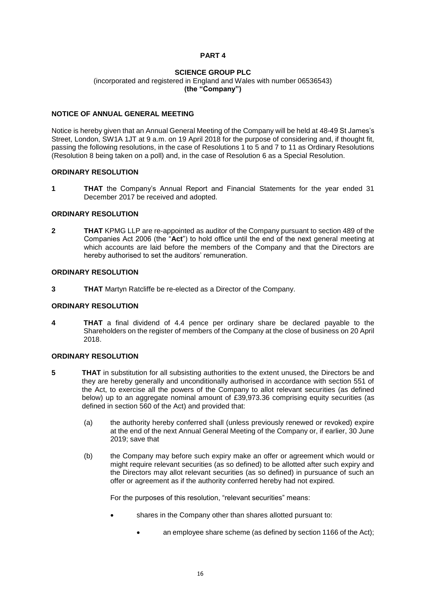## **SCIENCE GROUP PLC**

(incorporated and registered in England and Wales with number 06536543) **(the "Company")**

## **NOTICE OF ANNUAL GENERAL MEETING**

Notice is hereby given that an Annual General Meeting of the Company will be held at 48-49 St James's Street, London, SW1A 1JT at 9 a.m. on 19 April 2018 for the purpose of considering and, if thought fit, passing the following resolutions, in the case of Resolutions 1 to 5 and 7 to 11 as Ordinary Resolutions (Resolution 8 being taken on a poll) and, in the case of Resolution 6 as a Special Resolution.

## **ORDINARY RESOLUTION**

**1 THAT** the Company's Annual Report and Financial Statements for the year ended 31 December 2017 be received and adopted.

## **ORDINARY RESOLUTION**

**2 THAT** KPMG LLP are re-appointed as auditor of the Company pursuant to section 489 of the Companies Act 2006 (the "**Act**") to hold office until the end of the next general meeting at which accounts are laid before the members of the Company and that the Directors are hereby authorised to set the auditors' remuneration.

## **ORDINARY RESOLUTION**

**3 THAT** Martyn Ratcliffe be re-elected as a Director of the Company.

#### **ORDINARY RESOLUTION**

**4 THAT** a final dividend of 4.4 pence per ordinary share be declared payable to the Shareholders on the register of members of the Company at the close of business on 20 April 2018.

#### **ORDINARY RESOLUTION**

- **5 THAT** in substitution for all subsisting authorities to the extent unused, the Directors be and they are hereby generally and unconditionally authorised in accordance with section 551 of the Act, to exercise all the powers of the Company to allot relevant securities (as defined below) up to an aggregate nominal amount of £39,973.36 comprising equity securities (as defined in section 560 of the Act) and provided that:
	- (a) the authority hereby conferred shall (unless previously renewed or revoked) expire at the end of the next Annual General Meeting of the Company or, if earlier, 30 June 2019; save that
	- (b) the Company may before such expiry make an offer or agreement which would or might require relevant securities (as so defined) to be allotted after such expiry and the Directors may allot relevant securities (as so defined) in pursuance of such an offer or agreement as if the authority conferred hereby had not expired.

For the purposes of this resolution, "relevant securities" means:

- shares in the Company other than shares allotted pursuant to:
	- an employee share scheme (as defined by section 1166 of the Act);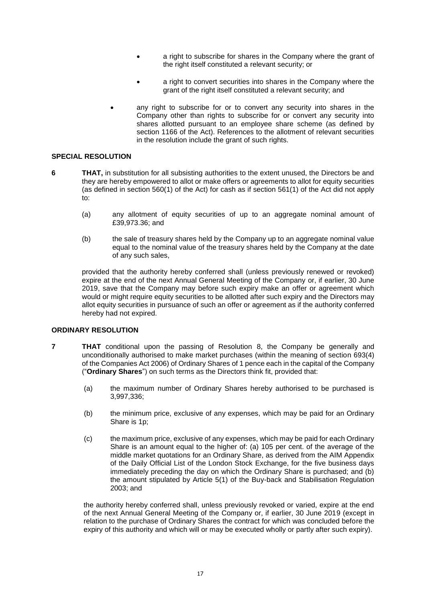- a right to subscribe for shares in the Company where the grant of the right itself constituted a relevant security; or
- a right to convert securities into shares in the Company where the grant of the right itself constituted a relevant security; and
- any right to subscribe for or to convert any security into shares in the Company other than rights to subscribe for or convert any security into shares allotted pursuant to an employee share scheme (as defined by section 1166 of the Act). References to the allotment of relevant securities in the resolution include the grant of such rights.

## **SPECIAL RESOLUTION**

- **6 THAT,** in substitution for all subsisting authorities to the extent unused, the Directors be and they are hereby empowered to allot or make offers or agreements to allot for equity securities (as defined in section 560(1) of the Act) for cash as if section 561(1) of the Act did not apply to:
	- (a) any allotment of equity securities of up to an aggregate nominal amount of £39,973.36; and
	- (b) the sale of treasury shares held by the Company up to an aggregate nominal value equal to the nominal value of the treasury shares held by the Company at the date of any such sales,

provided that the authority hereby conferred shall (unless previously renewed or revoked) expire at the end of the next Annual General Meeting of the Company or, if earlier, 30 June 2019, save that the Company may before such expiry make an offer or agreement which would or might require equity securities to be allotted after such expiry and the Directors may allot equity securities in pursuance of such an offer or agreement as if the authority conferred hereby had not expired.

#### **ORDINARY RESOLUTION**

- **7 THAT** conditional upon the passing of Resolution 8, the Company be generally and unconditionally authorised to make market purchases (within the meaning of section 693(4) of the Companies Act 2006) of Ordinary Shares of 1 pence each in the capital of the Company ("**Ordinary Shares**") on such terms as the Directors think fit, provided that:
	- (a) the maximum number of Ordinary Shares hereby authorised to be purchased is 3,997,336;
	- (b) the minimum price, exclusive of any expenses, which may be paid for an Ordinary Share is 1p;
	- (c) the maximum price, exclusive of any expenses, which may be paid for each Ordinary Share is an amount equal to the higher of: (a) 105 per cent. of the average of the middle market quotations for an Ordinary Share, as derived from the AIM Appendix of the Daily Official List of the London Stock Exchange, for the five business days immediately preceding the day on which the Ordinary Share is purchased; and (b) the amount stipulated by Article 5(1) of the Buy-back and Stabilisation Regulation 2003; and

the authority hereby conferred shall, unless previously revoked or varied, expire at the end of the next Annual General Meeting of the Company or, if earlier, 30 June 2019 (except in relation to the purchase of Ordinary Shares the contract for which was concluded before the expiry of this authority and which will or may be executed wholly or partly after such expiry).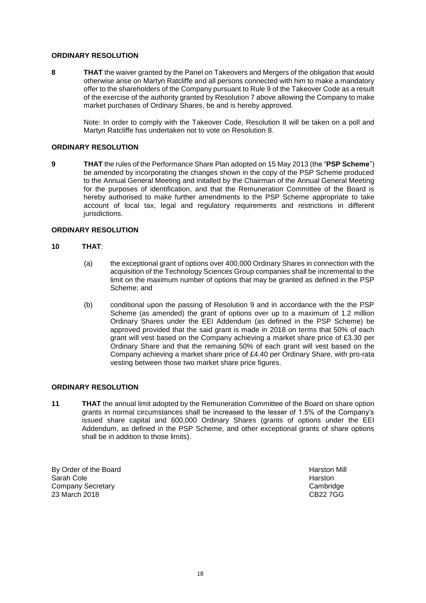## **ORDINARY RESOLUTION**

**8 THAT** the waiver granted by the Panel on Takeovers and Mergers of the obligation that would otherwise arise on Martyn Ratcliffe and all persons connected with him to make a mandatory offer to the shareholders of the Company pursuant to Rule 9 of the Takeover Code as a result of the exercise of the authority granted by Resolution 7 above allowing the Company to make market purchases of Ordinary Shares, be and is hereby approved.

Note: In order to comply with the Takeover Code, Resolution 8 will be taken on a poll and Martyn Ratcliffe has undertaken not to vote on Resolution 8.

## **ORDINARY RESOLUTION**

**9 THAT** the rules of the Performance Share Plan adopted on 15 May 2013 (the "**PSP Scheme**") be amended by incorporating the changes shown in the copy of the PSP Scheme produced to the Annual General Meeting and initalled by the Chairman of the Annual General Meeting for the purposes of identification, and that the Remuneration Committee of the Board is hereby authorised to make further amendments to the PSP Scheme appropriate to take account of local tax, legal and regulatory requirements and restrictions in different jurisdictions.

#### **ORDINARY RESOLUTION**

#### **10 THAT**:

- (a) the exceptional grant of options over 400,000 Ordinary Shares in connection with the acquisition of the Technology Sciences Group companies shall be incremental to the limit on the maximum number of options that may be granted as defined in the PSP Scheme; and
- (b) conditional upon the passing of Resolution 9 and in accordance with the the PSP Scheme (as amended) the grant of options over up to a maximum of 1.2 million Ordinary Shares under the EEI Addendum (as defined in the PSP Scheme) be approved provided that the said grant is made in 2018 on terms that 50% of each grant will vest based on the Company achieving a market share price of £3.30 per Ordinary Share and that the remaining 50% of each grant will vest based on the Company achieving a market share price of £4.40 per Ordinary Share, with pro-rata vesting between those two market share price figures.

## **ORDINARY RESOLUTION**

**11 THAT** the annual limit adopted by the Remuneration Committee of the Board on share option grants in normal circumstances shall be increased to the lesser of 1.5% of the Company's issued share capital and 600,000 Ordinary Shares (grants of options under the EEI Addendum, as defined in the PSP Scheme, and other exceptional grants of share options shall be in addition to those limits).

By Order of the Board **Harston Mill By Order of the Board Harston Mill** Sarah Cole **Harston** Harston **Harston** Harston **Harston Harston** Company Secretary Cambridge 23 March 2018 CB22 7GG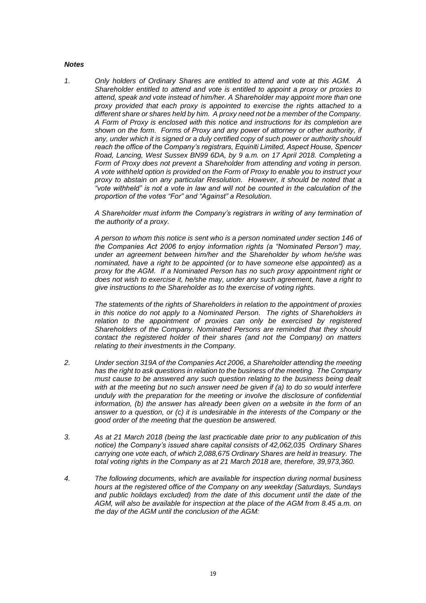#### *Notes*

*1. Only holders of Ordinary Shares are entitled to attend and vote at this AGM. A Shareholder entitled to attend and vote is entitled to appoint a proxy or proxies to attend, speak and vote instead of him/her. A Shareholder may appoint more than one proxy provided that each proxy is appointed to exercise the rights attached to a different share or shares held by him. A proxy need not be a member of the Company. A Form of Proxy is enclosed with this notice and instructions for its completion are shown on the form. Forms of Proxy and any power of attorney or other authority, if any, under which it is signed or a duly certified copy of such power or authority should reach the office of the Company's registrars, Equiniti Limited, Aspect House, Spencer Road, Lancing, West Sussex BN99 6DA, by 9 a.m. on 17 April 2018. Completing a Form of Proxy does not prevent a Shareholder from attending and voting in person. A vote withheld option is provided on the Form of Proxy to enable you to instruct your proxy to abstain on any particular Resolution. However, it should be noted that a "vote withheld" is not a vote in law and will not be counted in the calculation of the proportion of the votes "For" and "Against" a Resolution.*

*A Shareholder must inform the Company's registrars in writing of any termination of the authority of a proxy.*

*A person to whom this notice is sent who is a person nominated under section 146 of the Companies Act 2006 to enjoy information rights (a "Nominated Person") may, under an agreement between him/her and the Shareholder by whom he/she was nominated, have a right to be appointed (or to have someone else appointed) as a proxy for the AGM. If a Nominated Person has no such proxy appointment right or does not wish to exercise it, he/she may, under any such agreement, have a right to give instructions to the Shareholder as to the exercise of voting rights.*

*The statements of the rights of Shareholders in relation to the appointment of proxies in this notice do not apply to a Nominated Person. The rights of Shareholders in*  relation to the appointment of proxies can only be exercised by registered *Shareholders of the Company. Nominated Persons are reminded that they should contact the registered holder of their shares (and not the Company) on matters relating to their investments in the Company.*

- *2. Under section 319A of the Companies Act 2006, a Shareholder attending the meeting has the right to ask questions in relation to the business of the meeting. The Company must cause to be answered any such question relating to the business being dealt*  with at the meeting but no such answer need be given if (a) to do so would interfere *unduly with the preparation for the meeting or involve the disclosure of confidential information, (b) the answer has already been given on a website in the form of an answer to a question, or (c) it is undesirable in the interests of the Company or the good order of the meeting that the question be answered.*
- *3. As at 21 March 2018 (being the last practicable date prior to any publication of this notice) the Company's issued share capital consists of 42,062,035 Ordinary Shares carrying one vote each, of which 2,088,675 Ordinary Shares are held in treasury. The total voting rights in the Company as at 21 March 2018 are, therefore, 39,973,360.*
- *4. The following documents, which are available for inspection during normal business hours at the registered office of the Company on any weekday (Saturdays, Sundays and public holidays excluded) from the date of this document until the date of the AGM, will also be available for inspection at the place of the AGM from 8.45 a.m. on the day of the AGM until the conclusion of the AGM:*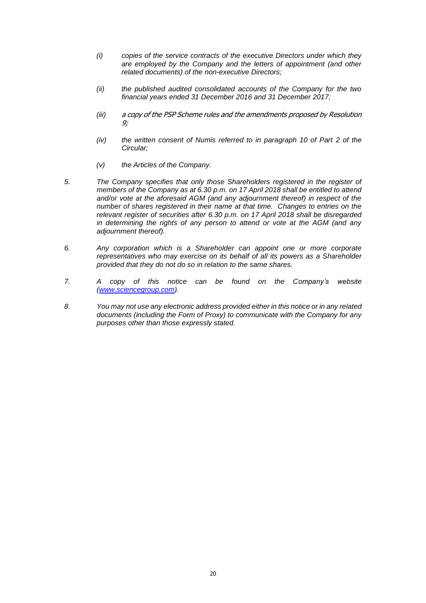- *(i) copies of the service contracts of the executive Directors under which they are employed by the Company and the letters of appointment (and other related documents) of the non-executive Directors;*
- *(ii) the published audited consolidated accounts of the Company for the two financial years ended 31 December 2016 and 31 December 2017;*
- *(iii)* a copy of the PSP Scheme rules and the amendments proposed by Resolution 9;
- *(iv) the written consent of Numis referred to in paragraph 10 of Part 2 of the Circular;*
- *(v) the Articles of the Company.*
- *5. The Company specifies that only those Shareholders registered in the register of members of the Company as at 6.30 p.m. on 17 April 2018 shall be entitled to attend and/or vote at the aforesaid AGM (and any adjournment thereof) in respect of the number of shares registered in their name at that time. Changes to entries on the relevant register of securities after 6.30 p.m. on 17 April 2018 shall be disregarded in determining the rights of any person to attend or vote at the AGM (and any adjournment thereof).*
- *6. Any corporation which is a Shareholder can appoint one or more corporate representatives who may exercise on its behalf of all its powers as a Shareholder provided that they do not do so in relation to the same shares.*
- *7. A copy of this notice can be found on the Company's website [\(www.sciencegroup.com\)](http://www.sciencegroup.com/).*
- *8. You may not use any electronic address provided either in this notice or in any related documents (including the Form of Proxy) to communicate with the Company for any purposes other than those expressly stated.*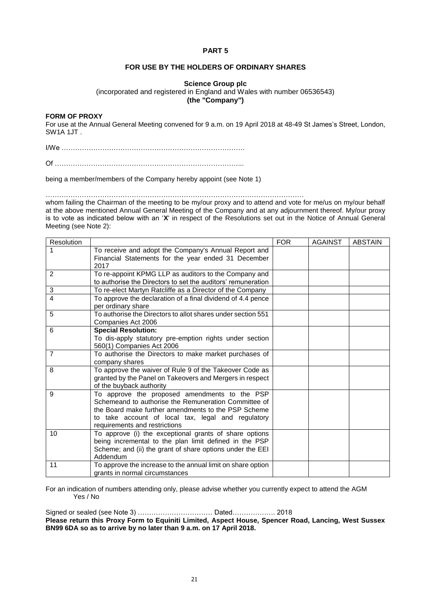## **FOR USE BY THE HOLDERS OF ORDINARY SHARES**

## **Science Group plc**

(incorporated and registered in England and Wales with number 06536543)

**(the "Company")**

#### **FORM OF PROXY**

For use at the Annual General Meeting convened for 9 a.m. on 19 April 2018 at 48-49 St James's Street, London, SW1A 1JT .

I/We ………………………………………………………………………

Of ………………………………………………………………………...

being a member/members of the Company hereby appoint (see Note 1)

……………………………………………………………………………………………………

whom failing the Chairman of the meeting to be my/our proxy and to attend and vote for me/us on my/our behalf at the above mentioned Annual General Meeting of the Company and at any adjournment thereof. My/our proxy is to vote as indicated below with an '**X**' in respect of the Resolutions set out in the Notice of Annual General Meeting (see Note 2):

| Resolution     |                                                              | <b>FOR</b> | <b>AGAINST</b> | <b>ABSTAIN</b> |
|----------------|--------------------------------------------------------------|------------|----------------|----------------|
|                | To receive and adopt the Company's Annual Report and         |            |                |                |
|                | Financial Statements for the year ended 31 December          |            |                |                |
|                | 2017                                                         |            |                |                |
| 2              | To re-appoint KPMG LLP as auditors to the Company and        |            |                |                |
|                | to authorise the Directors to set the auditors' remuneration |            |                |                |
| 3              | To re-elect Martyn Ratcliffe as a Director of the Company    |            |                |                |
| 4              | To approve the declaration of a final dividend of 4.4 pence  |            |                |                |
|                | per ordinary share                                           |            |                |                |
| 5              | To authorise the Directors to allot shares under section 551 |            |                |                |
|                | Companies Act 2006                                           |            |                |                |
| 6              | <b>Special Resolution:</b>                                   |            |                |                |
|                | To dis-apply statutory pre-emption rights under section      |            |                |                |
|                | 560(1) Companies Act 2006                                    |            |                |                |
| $\overline{7}$ | To authorise the Directors to make market purchases of       |            |                |                |
|                | company shares                                               |            |                |                |
| 8              | To approve the waiver of Rule 9 of the Takeover Code as      |            |                |                |
|                | granted by the Panel on Takeovers and Mergers in respect     |            |                |                |
|                | of the buyback authority                                     |            |                |                |
| 9              | To approve the proposed amendments to the PSP                |            |                |                |
|                | Schemeand to authorise the Remuneration Committee of         |            |                |                |
|                | the Board make further amendments to the PSP Scheme          |            |                |                |
|                | to take account of local tax, legal and regulatory           |            |                |                |
|                | requirements and restrictions                                |            |                |                |
| 10             | To approve (i) the exceptional grants of share options       |            |                |                |
|                | being incremental to the plan limit defined in the PSP       |            |                |                |
|                | Scheme; and (ii) the grant of share options under the EEI    |            |                |                |
|                | Addendum                                                     |            |                |                |
| 11             | To approve the increase to the annual limit on share option  |            |                |                |
|                | grants in normal circumstances                               |            |                |                |

For an indication of numbers attending only, please advise whether you currently expect to attend the AGM Yes / No

Signed or sealed (see Note 3) …………………………… Dated………………. 2018 **Please return this Proxy Form to Equiniti Limited, Aspect House, Spencer Road, Lancing, West Sussex BN99 6DA so as to arrive by no later than 9 a.m. on 17 April 2018.**